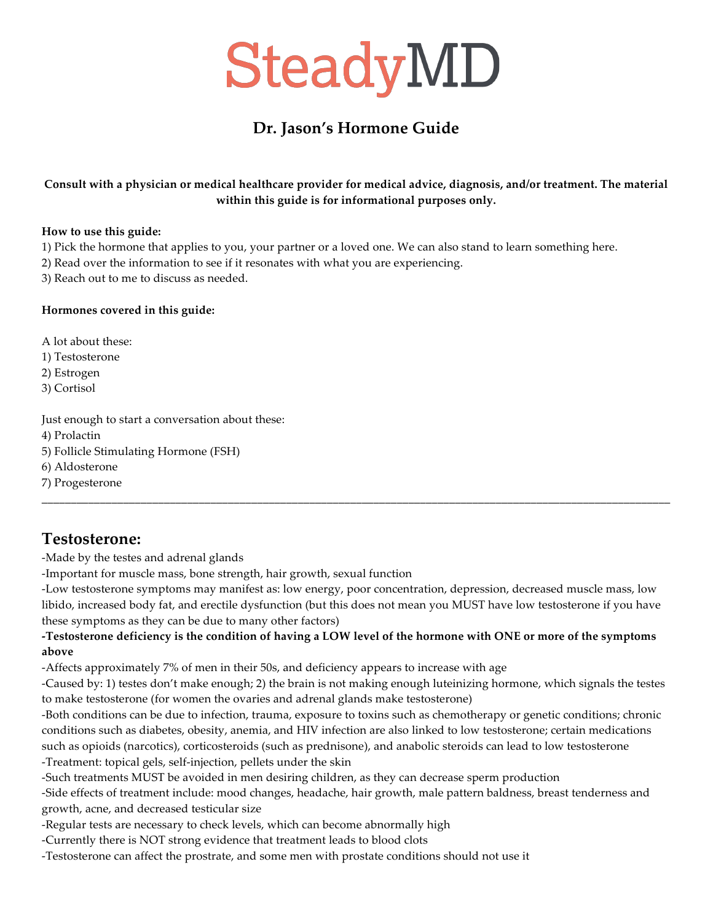### **Dr. Jason's Hormone Guide**

#### **Consult with a physician or medical healthcare provider for medical advice, diagnosis, and/or treatment. The material within this guide is for informational purposes only.**

#### **How to use this guide:**

1) Pick the hormone that applies to you, your partner or a loved one. We can also stand to learn something here.

2) Read over the information to see if it resonates with what you are experiencing.

3) Reach out to me to discuss as needed.

#### **Hormones covered in this guide:**

A lot about these: 1) Testosterone 2) Estrogen 3) Cortisol

Just enough to start a conversation about these: 4) Prolactin 5) Follicle Stimulating Hormone (FSH) 6) Aldosterone 7) Progesterone

### **Testosterone:**

-Made by the testes and adrenal glands

-Important for muscle mass, bone strength, hair growth, sexual function

-Low testosterone symptoms may manifest as: low energy, poor concentration, depression, decreased muscle mass, low libido, increased body fat, and erectile dysfunction (but this does not mean you MUST have low testosterone if you have these symptoms as they can be due to many other factors)

\_\_\_\_\_\_\_\_\_\_\_\_\_\_\_\_\_\_\_\_\_\_\_\_\_\_\_\_\_\_\_\_\_\_\_\_\_\_\_\_\_\_\_\_\_\_\_\_\_\_\_\_\_\_\_\_\_\_\_\_\_\_\_\_\_\_\_\_\_\_\_\_\_\_\_\_\_\_\_\_\_\_\_\_\_\_\_\_\_\_\_\_\_\_\_\_\_\_\_\_\_\_\_\_\_\_\_\_

#### **-Testosterone deficiency is the condition of having a LOW level of the hormone with ONE or more of the symptoms above**

-Affects approximately 7% of men in their 50s, and deficiency appears to increase with age

-Caused by: 1) testes don't make enough; 2) the brain is not making enough luteinizing hormone, which signals the testes to make testosterone (for women the ovaries and adrenal glands make testosterone)

-Both conditions can be due to infection, trauma, exposure to toxins such as chemotherapy or genetic conditions; chronic conditions such as diabetes, obesity, anemia, and HIV infection are also linked to low testosterone; certain medications such as opioids (narcotics), corticosteroids (such as prednisone), and anabolic steroids can lead to low testosterone -Treatment: topical gels, self-injection, pellets under the skin

-Such treatments MUST be avoided in men desiring children, as they can decrease sperm production

-Side effects of treatment include: mood changes, headache, hair growth, male pattern baldness, breast tenderness and growth, acne, and decreased testicular size

-Regular tests are necessary to check levels, which can become abnormally high

-Currently there is NOT strong evidence that treatment leads to blood clots

-Testosterone can affect the prostrate, and some men with prostate conditions should not use it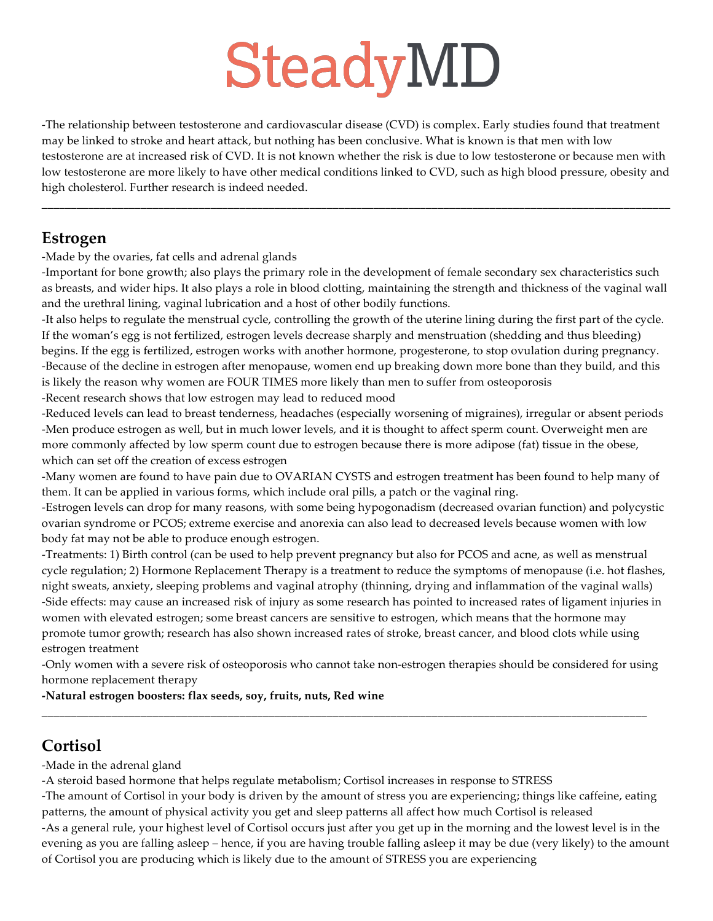-The relationship between testosterone and cardiovascular disease (CVD) is complex. Early studies found that treatment may be linked to stroke and heart attack, but nothing has been conclusive. What is known is that men with low testosterone are at increased risk of CVD. It is not known whether the risk is due to low testosterone or because men with low testosterone are more likely to have other medical conditions linked to CVD, such as high blood pressure, obesity and high cholesterol. Further research is indeed needed.

\_\_\_\_\_\_\_\_\_\_\_\_\_\_\_\_\_\_\_\_\_\_\_\_\_\_\_\_\_\_\_\_\_\_\_\_\_\_\_\_\_\_\_\_\_\_\_\_\_\_\_\_\_\_\_\_\_\_\_\_\_\_\_\_\_\_\_\_\_\_\_\_\_\_\_\_\_\_\_\_\_\_\_\_\_\_\_\_\_\_\_\_\_\_\_\_\_\_\_\_\_\_\_\_\_\_\_\_

### **Estrogen**

-Made by the ovaries, fat cells and adrenal glands

-Important for bone growth; also plays the primary role in the development of female secondary sex characteristics such as breasts, and wider hips. It also plays a role in blood clotting, maintaining the strength and thickness of the vaginal wall and the urethral lining, vaginal lubrication and a host of other bodily functions.

-It also helps to regulate the menstrual cycle, controlling the growth of the uterine lining during the first part of the cycle. If the woman's egg is not fertilized, estrogen levels decrease sharply and menstruation (shedding and thus bleeding) begins. If the egg is fertilized, estrogen works with another hormone, progesterone, to stop ovulation during pregnancy. -Because of the decline in estrogen after menopause, women end up breaking down more bone than they build, and this is likely the reason why women are FOUR TIMES more likely than men to suffer from osteoporosis

-Recent research shows that low estrogen may lead to reduced mood

-Reduced levels can lead to breast tenderness, headaches (especially worsening of migraines), irregular or absent periods -Men produce estrogen as well, but in much lower levels, and it is thought to affect sperm count. Overweight men are more commonly affected by low sperm count due to estrogen because there is more adipose (fat) tissue in the obese, which can set off the creation of excess estrogen

-Many women are found to have pain due to OVARIAN CYSTS and estrogen treatment has been found to help many of them. It can be applied in various forms, which include oral pills, a patch or the vaginal ring.

-Estrogen levels can drop for many reasons, with some being hypogonadism (decreased ovarian function) and polycystic ovarian syndrome or PCOS; extreme exercise and anorexia can also lead to decreased levels because women with low body fat may not be able to produce enough estrogen.

-Treatments: 1) Birth control (can be used to help prevent pregnancy but also for PCOS and acne, as well as menstrual cycle regulation; 2) Hormone Replacement Therapy is a treatment to reduce the symptoms of menopause (i.e. hot flashes, night sweats, anxiety, sleeping problems and vaginal atrophy (thinning, drying and inflammation of the vaginal walls) -Side effects: may cause an increased risk of injury as some research has pointed to increased rates of ligament injuries in women with elevated estrogen; some breast cancers are sensitive to estrogen, which means that the hormone may promote tumor growth; research has also shown increased rates of stroke, breast cancer, and blood clots while using estrogen treatment

-Only women with a severe risk of osteoporosis who cannot take non-estrogen therapies should be considered for using hormone replacement therapy

\_\_\_\_\_\_\_\_\_\_\_\_\_\_\_\_\_\_\_\_\_\_\_\_\_\_\_\_\_\_\_\_\_\_\_\_\_\_\_\_\_\_\_\_\_\_\_\_\_\_\_\_\_\_\_\_\_\_\_\_\_\_\_\_\_\_\_\_\_\_\_\_\_\_\_\_\_\_\_\_\_\_\_\_\_\_\_\_\_\_\_\_\_\_\_\_\_\_\_\_\_\_\_\_

**-Natural estrogen boosters: flax seeds, soy, fruits, nuts, Red wine**

## **Cortisol**

-Made in the adrenal gland

-A steroid based hormone that helps regulate metabolism; Cortisol increases in response to STRESS

-The amount of Cortisol in your body is driven by the amount of stress you are experiencing; things like caffeine, eating patterns, the amount of physical activity you get and sleep patterns all affect how much Cortisol is released -As a general rule, your highest level of Cortisol occurs just after you get up in the morning and the lowest level is in the evening as you are falling asleep – hence, if you are having trouble falling asleep it may be due (very likely) to the amount of Cortisol you are producing which is likely due to the amount of STRESS you are experiencing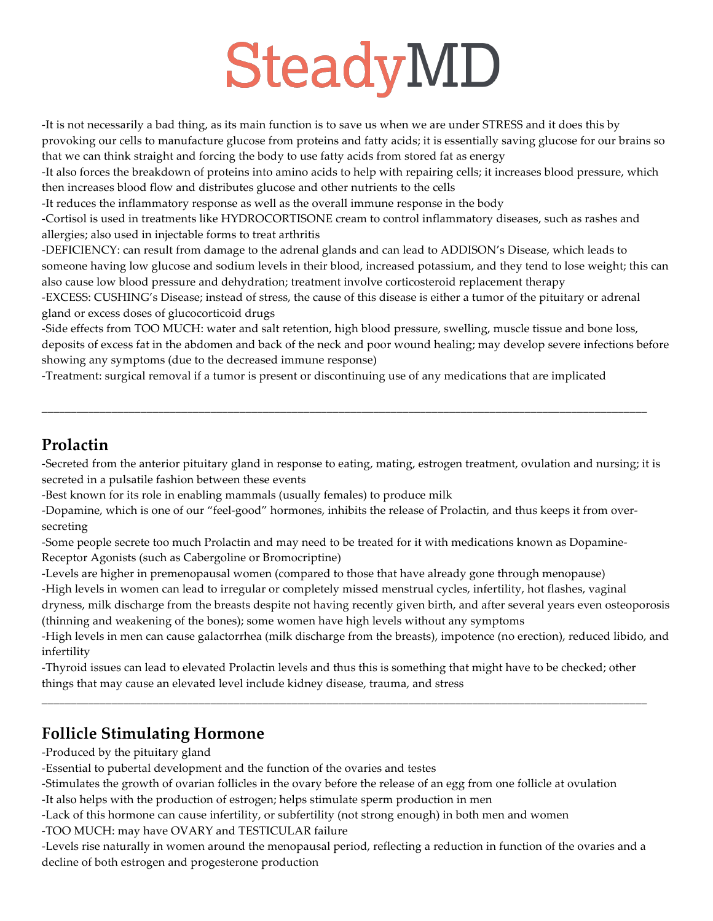-It is not necessarily a bad thing, as its main function is to save us when we are under STRESS and it does this by provoking our cells to manufacture glucose from proteins and fatty acids; it is essentially saving glucose for our brains so that we can think straight and forcing the body to use fatty acids from stored fat as energy

-It also forces the breakdown of proteins into amino acids to help with repairing cells; it increases blood pressure, which then increases blood flow and distributes glucose and other nutrients to the cells

-It reduces the inflammatory response as well as the overall immune response in the body

-Cortisol is used in treatments like HYDROCORTISONE cream to control inflammatory diseases, such as rashes and allergies; also used in injectable forms to treat arthritis

-DEFICIENCY: can result from damage to the adrenal glands and can lead to ADDISON's Disease, which leads to someone having low glucose and sodium levels in their blood, increased potassium, and they tend to lose weight; this can also cause low blood pressure and dehydration; treatment involve corticosteroid replacement therapy

-EXCESS: CUSHING's Disease; instead of stress, the cause of this disease is either a tumor of the pituitary or adrenal gland or excess doses of glucocorticoid drugs

-Side effects from TOO MUCH: water and salt retention, high blood pressure, swelling, muscle tissue and bone loss, deposits of excess fat in the abdomen and back of the neck and poor wound healing; may develop severe infections before showing any symptoms (due to the decreased immune response)

-Treatment: surgical removal if a tumor is present or discontinuing use of any medications that are implicated

## **Prolactin**

-Secreted from the anterior pituitary gland in response to eating, mating, estrogen treatment, ovulation and nursing; it is secreted in a pulsatile fashion between these events

\_\_\_\_\_\_\_\_\_\_\_\_\_\_\_\_\_\_\_\_\_\_\_\_\_\_\_\_\_\_\_\_\_\_\_\_\_\_\_\_\_\_\_\_\_\_\_\_\_\_\_\_\_\_\_\_\_\_\_\_\_\_\_\_\_\_\_\_\_\_\_\_\_\_\_\_\_\_\_\_\_\_\_\_\_\_\_\_\_\_\_\_\_\_\_\_\_\_\_\_\_\_\_\_

-Best known for its role in enabling mammals (usually females) to produce milk

-Dopamine, which is one of our "feel-good" hormones, inhibits the release of Prolactin, and thus keeps it from oversecreting

-Some people secrete too much Prolactin and may need to be treated for it with medications known as Dopamine-Receptor Agonists (such as Cabergoline or Bromocriptine)

-Levels are higher in premenopausal women (compared to those that have already gone through menopause) -High levels in women can lead to irregular or completely missed menstrual cycles, infertility, hot flashes, vaginal dryness, milk discharge from the breasts despite not having recently given birth, and after several years even osteoporosis (thinning and weakening of the bones); some women have high levels without any symptoms

-High levels in men can cause galactorrhea (milk discharge from the breasts), impotence (no erection), reduced libido, and infertility

-Thyroid issues can lead to elevated Prolactin levels and thus this is something that might have to be checked; other things that may cause an elevated level include kidney disease, trauma, and stress

\_\_\_\_\_\_\_\_\_\_\_\_\_\_\_\_\_\_\_\_\_\_\_\_\_\_\_\_\_\_\_\_\_\_\_\_\_\_\_\_\_\_\_\_\_\_\_\_\_\_\_\_\_\_\_\_\_\_\_\_\_\_\_\_\_\_\_\_\_\_\_\_\_\_\_\_\_\_\_\_\_\_\_\_\_\_\_\_\_\_\_\_\_\_\_\_\_\_\_\_\_\_\_\_

## **Follicle Stimulating Hormone**

-Produced by the pituitary gland

-Essential to pubertal development and the function of the ovaries and testes

-Stimulates the growth of ovarian follicles in the ovary before the release of an egg from one follicle at ovulation -It also helps with the production of estrogen; helps stimulate sperm production in men

-Lack of this hormone can cause infertility, or subfertility (not strong enough) in both men and women

-TOO MUCH: may have OVARY and TESTICULAR failure

-Levels rise naturally in women around the menopausal period, reflecting a reduction in function of the ovaries and a decline of both estrogen and progesterone production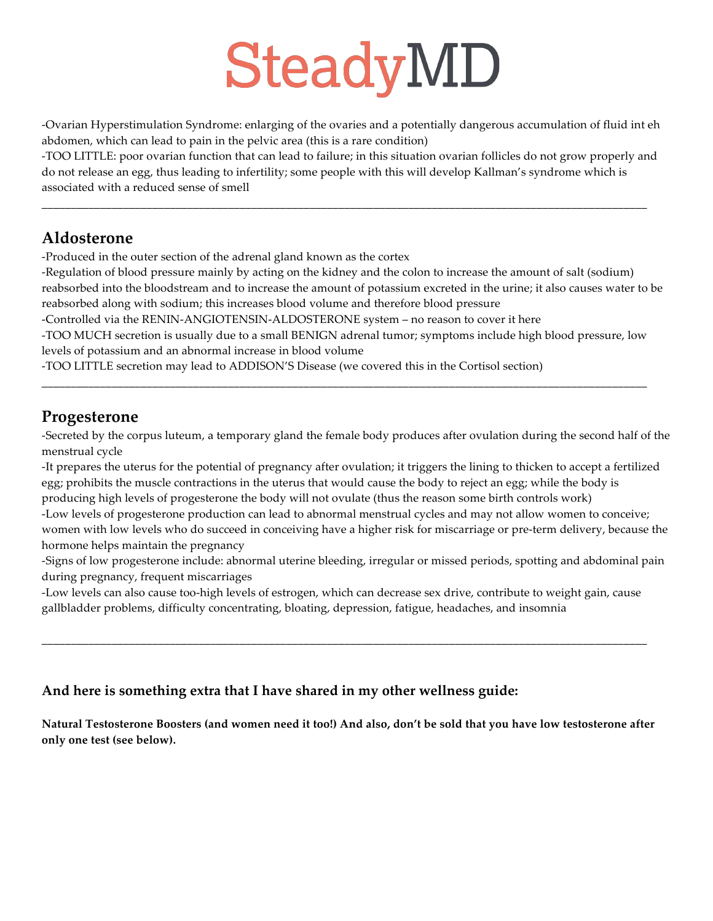-Ovarian Hyperstimulation Syndrome: enlarging of the ovaries and a potentially dangerous accumulation of fluid int eh abdomen, which can lead to pain in the pelvic area (this is a rare condition)

-TOO LITTLE: poor ovarian function that can lead to failure; in this situation ovarian follicles do not grow properly and do not release an egg, thus leading to infertility; some people with this will develop Kallman's syndrome which is associated with a reduced sense of smell

\_\_\_\_\_\_\_\_\_\_\_\_\_\_\_\_\_\_\_\_\_\_\_\_\_\_\_\_\_\_\_\_\_\_\_\_\_\_\_\_\_\_\_\_\_\_\_\_\_\_\_\_\_\_\_\_\_\_\_\_\_\_\_\_\_\_\_\_\_\_\_\_\_\_\_\_\_\_\_\_\_\_\_\_\_\_\_\_\_\_\_\_\_\_\_\_\_\_\_\_\_\_\_\_

### **Aldosterone**

-Produced in the outer section of the adrenal gland known as the cortex

-Regulation of blood pressure mainly by acting on the kidney and the colon to increase the amount of salt (sodium) reabsorbed into the bloodstream and to increase the amount of potassium excreted in the urine; it also causes water to be reabsorbed along with sodium; this increases blood volume and therefore blood pressure

-Controlled via the RENIN-ANGIOTENSIN-ALDOSTERONE system – no reason to cover it here

-TOO MUCH secretion is usually due to a small BENIGN adrenal tumor; symptoms include high blood pressure, low levels of potassium and an abnormal increase in blood volume

\_\_\_\_\_\_\_\_\_\_\_\_\_\_\_\_\_\_\_\_\_\_\_\_\_\_\_\_\_\_\_\_\_\_\_\_\_\_\_\_\_\_\_\_\_\_\_\_\_\_\_\_\_\_\_\_\_\_\_\_\_\_\_\_\_\_\_\_\_\_\_\_\_\_\_\_\_\_\_\_\_\_\_\_\_\_\_\_\_\_\_\_\_\_\_\_\_\_\_\_\_\_\_\_

-TOO LITTLE secretion may lead to ADDISON'S Disease (we covered this in the Cortisol section)

### **Progesterone**

-Secreted by the corpus luteum, a temporary gland the female body produces after ovulation during the second half of the menstrual cycle

-It prepares the uterus for the potential of pregnancy after ovulation; it triggers the lining to thicken to accept a fertilized egg; prohibits the muscle contractions in the uterus that would cause the body to reject an egg; while the body is producing high levels of progesterone the body will not ovulate (thus the reason some birth controls work)

-Low levels of progesterone production can lead to abnormal menstrual cycles and may not allow women to conceive; women with low levels who do succeed in conceiving have a higher risk for miscarriage or pre-term delivery, because the hormone helps maintain the pregnancy

-Signs of low progesterone include: abnormal uterine bleeding, irregular or missed periods, spotting and abdominal pain during pregnancy, frequent miscarriages

-Low levels can also cause too-high levels of estrogen, which can decrease sex drive, contribute to weight gain, cause gallbladder problems, difficulty concentrating, bloating, depression, fatigue, headaches, and insomnia

\_\_\_\_\_\_\_\_\_\_\_\_\_\_\_\_\_\_\_\_\_\_\_\_\_\_\_\_\_\_\_\_\_\_\_\_\_\_\_\_\_\_\_\_\_\_\_\_\_\_\_\_\_\_\_\_\_\_\_\_\_\_\_\_\_\_\_\_\_\_\_\_\_\_\_\_\_\_\_\_\_\_\_\_\_\_\_\_\_\_\_\_\_\_\_\_\_\_\_\_\_\_\_\_

### **And here is something extra that I have shared in my other wellness guide:**

**Natural Testosterone Boosters (and women need it too!) And also, don't be sold that you have low testosterone after only one test (see below).**